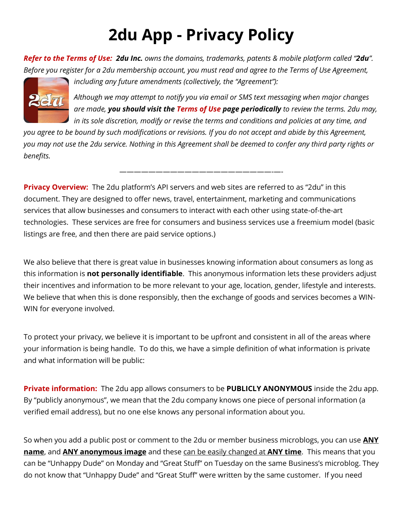## **2du App - Privacy Policy**

*Refer to the Terms of Use: 2du Inc. owns the domains, trademarks, patents & mobile platform called "2du". Before you register for a 2du membership account, you must read and agree to the Terms of Use Agreement,* 



*including any future amendments (collectively, the "Agreement"):*

*Although we may attempt to notify you via email or SMS text messaging when major changes are made, you should visit the Terms of Use page periodically to review the terms. 2du may, in its sole discretion, modify or revise the terms and conditions and policies at any time, and* 

*you agree to be bound by such modifications or revisions. If you do not accept and abide by this Agreement, you may not use the 2du service. Nothing in this Agreement shall be deemed to confer any third party rights or benefits.*

—————————————————————-—-

**Privacy Overview:** The 2du platform's API servers and web sites are referred to as "2du" in this document. They are designed to offer news, travel, entertainment, marketing and communications services that allow businesses and consumers to interact with each other using state-of-the-art technologies. These services are free for consumers and business services use a freemium model (basic listings are free, and then there are paid service options.)

We also believe that there is great value in businesses knowing information about consumers as long as this information is **not personally identifiable**. This anonymous information lets these providers adjust their incentives and information to be more relevant to your age, location, gender, lifestyle and interests. We believe that when this is done responsibly, then the exchange of goods and services becomes a WIN-WIN for everyone involved.

To protect your privacy, we believe it is important to be upfront and consistent in all of the areas where your information is being handle. To do this, we have a simple definition of what information is private and what information will be public:

**Private information:** The 2du app allows consumers to be **PUBLICLY ANONYMOUS** inside the 2du app. By "publicly anonymous", we mean that the 2du company knows one piece of personal information (a verified email address), but no one else knows any personal information about you.

So when you add a public post or comment to the 2du or member business microblogs, you can use **ANY name**, and **ANY anonymous image** and these can be easily changed at **ANY time**. This means that you can be "Unhappy Dude" on Monday and "Great Stuff" on Tuesday on the same Business's microblog. They do not know that "Unhappy Dude" and "Great Stuff" were written by the same customer. If you need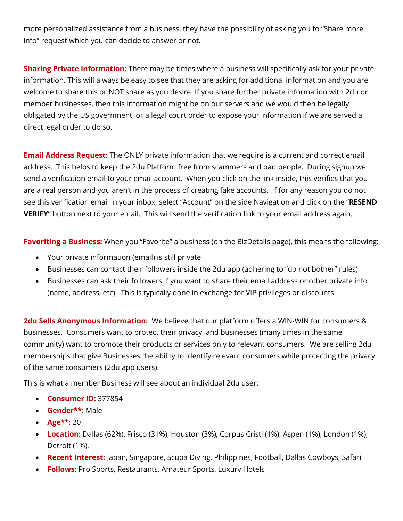more personalized assistance from a business, they have the possibility of asking you to "Share more info" request which you can decide to answer or not.

**Sharing Private information:** There may be times where a business will specifically ask for your private information. This will always be easy to see that they are asking for additional information and you are welcome to share this or NOT share as you desire. If you share further private information with 2du or member businesses, then this information might be on our servers and we would then be legally obligated by the US government, or a legal court order to expose your information if we are served a direct legal order to do so.

**Email Address Request:** The ONLY private information that we require is a current and correct email address. This helps to keep the 2du Platform free from scammers and bad people. During signup we send a verification email to your email account. When you click on the link inside, this verifies that you are a real person and you aren't in the process of creating fake accounts. If for any reason you do not see this verification email in your inbox, select "Account" on the side Navigation and click on the "**RESEND VERIFY**" button next to your email. This will send the verification link to your email address again.

**Favoriting a Business:** When you "Favorite" a business (on the BizDetails page), this means the following:

- Your private information (email) is still private
- Businesses can contact their followers inside the 2du app (adhering to "do not bother" rules)
- Businesses can ask their followers if you want to share their email address or other private info (name, address, etc). This is typically done in exchange for VIP privileges or discounts.

**2du Sells Anonymous Information:** We believe that our platform offers a WIN-WIN for consumers & businesses. Consumers want to protect their privacy, and businesses (many times in the same community) want to promote their products or services only to relevant consumers. We are selling 2du memberships that give Businesses the ability to identify relevant consumers while protecting the privacy of the same consumers (2du app users).

This is what a member Business will see about an individual 2du user:

- **Consumer ID:** 377854
- **Gender\*\*:** Male
- **Age\*\*:** 20
- **Location:** Dallas (62%), Frisco (31%), Houston (3%), Corpus Cristi (1%), Aspen (1%), London (1%), Detroit (1%),
- **Recent Interest:** Japan, Singapore, Scuba Diving, Philippines, Football, Dallas Cowboys, Safari
- **Follows:** Pro Sports, Restaurants, Amateur Sports, Luxury Hotels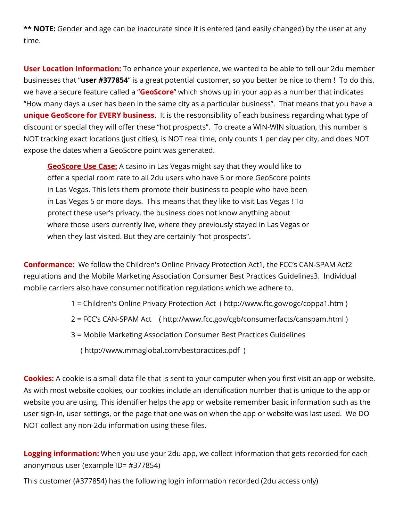\*\* **NOTE:** Gender and age can be inaccurate since it is entered (and easily changed) by the user at any time.

**User Location Information:** To enhance your experience, we wanted to be able to tell our 2du member businesses that "**user #377854**" is a great potential customer, so you better be nice to them ! To do this, we have a secure feature called a "**GeoScore**" which shows up in your app as a number that indicates "How many days a user has been in the same city as a particular business". That means that you have a **unique GeoScore for EVERY business**. It is the responsibility of each business regarding what type of discount or special they will offer these "hot prospects". To create a WIN-WIN situation, this number is NOT tracking exact locations (just cities), is NOT real time, only counts 1 per day per city, and does NOT expose the dates when a GeoScore point was generated.

**GeoScore Use Case:** A casino in Las Vegas might say that they would like to offer a special room rate to all 2du users who have 5 or more GeoScore points in Las Vegas. This lets them promote their business to people who have been in Las Vegas 5 or more days. This means that they like to visit Las Vegas ! To protect these user's privacy, the business does not know anything about where those users currently live, where they previously stayed in Las Vegas or when they last visited. But they are certainly "hot prospects".

**Conformance:** We follow the Children's Online Privacy Protection Act1, the FCC's CAN-SPAM Act2 regulations and the Mobile Marketing Association Consumer Best Practices Guidelines3. Individual mobile carriers also have consumer notification regulations which we adhere to.

- 1 = Children's Online Privacy Protection Act ( http://www.ftc.gov/ogc/coppa1.htm )
- 2 = FCC's CAN-SPAM Act ( http://www.fcc.gov/cgb/consumerfacts/canspam.html )
- 3 = Mobile Marketing Association Consumer Best Practices Guidelines

( http://www.mmaglobal.com/bestpractices.pdf )

**Cookies:** A cookie is a small data file that is sent to your computer when you first visit an app or website. As with most website cookies, our cookies include an identification number that is unique to the app or website you are using. This identifier helps the app or website remember basic information such as the user sign-in, user settings, or the page that one was on when the app or website was last used. We DO NOT collect any non-2du information using these files.

**Logging information:** When you use your 2du app, we collect information that gets recorded for each anonymous user (example ID= #377854)

This customer (#377854) has the following login information recorded (2du access only)